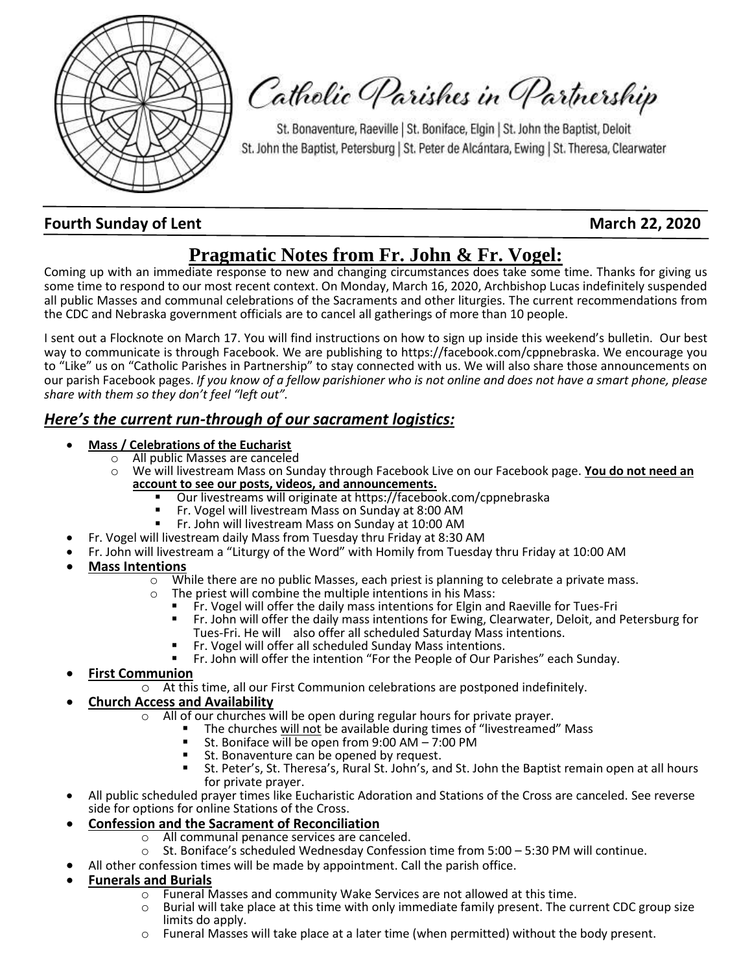

Catholic Parishes in Partnership

St. Bonaventure, Raeville | St. Boniface, Elgin | St. John the Baptist, Deloit St. John the Baptist, Petersburg | St. Peter de Alcántara, Ewing | St. Theresa, Clearwater

## **Fourth Sunday of Lent March 22, 2020**

# **Pragmatic Notes from Fr. John & Fr. Vogel:**

Coming up with an immediate response to new and changing circumstances does take some time. Thanks for giving us some time to respond to our most recent context. On Monday, March 16, 2020, Archbishop Lucas indefinitely suspended all public Masses and communal celebrations of the Sacraments and other liturgies. The current recommendations from the CDC and Nebraska government officials are to cancel all gatherings of more than 10 people.

I sent out a Flocknote on March 17. You will find instructions on how to sign up inside this weekend's bulletin. Our best way to communicate is through Facebook. We are publishing to https://facebook.com/cppnebraska. We encourage you to "Like" us on "Catholic Parishes in Partnership" to stay connected with us. We will also share those announcements on our parish Facebook pages. *If you know of a fellow parishioner who is not online and does not have a smart phone, please share with them so they don't feel "left out".* 

### *Here's the current run-through of our sacrament logistics:*

- **Mass / Celebrations of the Eucharist** 
	- o All public Masses are canceled
	- o We will livestream Mass on Sunday through Facebook Live on our Facebook page. **You do not need an account to see our posts, videos, and announcements.**
		- Our livestreams will originate at https://facebook.com/cppnebraska
		- Fr. Vogel will livestream Mass on Sunday at 8:00 AM
			- Fr. John will livestream Mass on Sunday at 10:00 AM
	- Fr. Vogel will livestream daily Mass from Tuesday thru Friday at 8:30 AM
- Fr. John will livestream a "Liturgy of the Word" with Homily from Tuesday thru Friday at 10:00 AM
- **Mass Intentions**
	- $\circ$  While there are no public Masses, each priest is planning to celebrate a private mass.
	- o The priest will combine the multiple intentions in his Mass:
		- Fr. Vogel will offer the daily mass intentions for Elgin and Raeville for Tues-Fri
		- Fr. John will offer the daily mass intentions for Ewing, Clearwater, Deloit, and Petersburg for Tues-Fri. He will also offer all scheduled Saturday Mass intentions.
		- Fr. Vogel will offer all scheduled Sunday Mass intentions.
		- Fr. John will offer the intention "For the People of Our Parishes" each Sunday.
- **First Communion** 
	- o At this time, all our First Communion celebrations are postponed indefinitely.

### • **Church Access and Availability**

- All of our churches will be open during regular hours for private prayer.
	- The churches will not be available during times of "livestreamed" Mass
		- St. Boniface will be open from  $9:00$  AM  $7:00$  PM
		- St. Bonaventure can be opened by request.
	- St. Peter's, St. Theresa's, Rural St. John's, and St. John the Baptist remain open at all hours for private prayer.
- All public scheduled prayer times like Eucharistic Adoration and Stations of the Cross are canceled. See reverse side for options for online Stations of the Cross.
- **Confession and the Sacrament of Reconciliation**
	- o All communal penance services are canceled.
	- o St. Boniface's scheduled Wednesday Confession time from 5:00 5:30 PM will continue.
	- All other confession times will be made by appointment. Call the parish office.

### • **Funerals and Burials**

- $\circ$  Funeral Masses and community Wake Services are not allowed at this time.
- $\circ$  Burial will take place at this time with only immediate family present. The current CDC group size limits do apply.
	- o Funeral Masses will take place at a later time (when permitted) without the body present.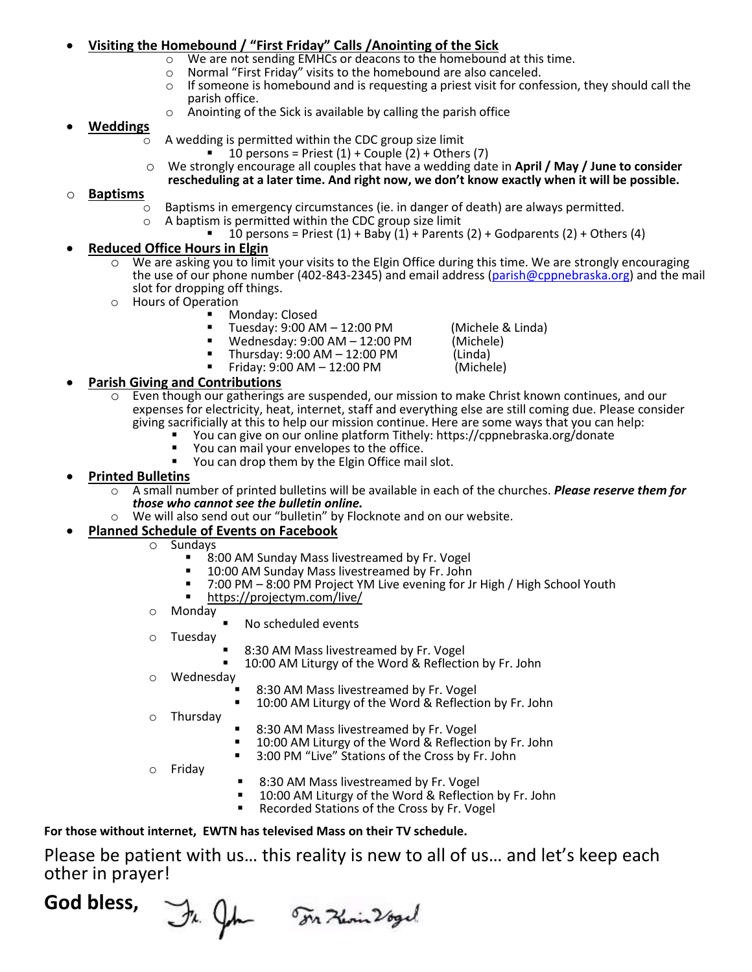# **<u>Visiting the Homebound / "First Friday" Calls /Anointing of the Sick Calls / Now the Sick</u><br>**  $\circ$  **We are not sending EMHCs or deacons to the homebound**

- We are not sending EMHCs or deacons to the homebound at this time.
- o Normal "First Friday" visits to the homebound are also canceled.
- $\circ$  If someone is homebound and is requesting a priest visit for confession, they should call the parish office.
- o Anointing of the Sick is available by calling the parish office

### • **Weddings**

- $\overline{\circ}$  A wedding is permitted within the CDC group size limit
	- 10 persons = Priest  $(1)$  + Couple  $(2)$  + Others  $(7)$
- o We strongly encourage all couples that have a wedding date in **April / May / June to consider rescheduling at a later time. And right now, we don't know exactly when it will be possible.**

### o **Baptisms**

- $\circ$  Baptisms in emergency circumstances (ie. in danger of death) are always permitted.<br>  $\circ$  A baptism is permitted within the CDC group size limit
	- A baptism is permitted within the CDC group size limit
		- 10 persons = Priest  $(1)$  + Baby  $(1)$  + Parents  $(2)$  + Godparents  $(2)$  + Others  $(4)$

### • **Reduced Office Hours in Elgin**

- $\circ$  We are asking you to limit your visits to the Elgin Office during this time. We are strongly encouraging the use of our phone number (402-843-2345) and email address [\(parish@cppnebraska.org\)](mailto:parish@cppnebraska.org) and the mail slot for dropping off things.
- o Hours of Operation
	- Monday: Closed
		- Tuesday: 9:00 AM 12:00 PM (Michele & Linda)<br>Wednesday: 9:00 AM 12:00 PM (Michele)
		- Wednesday: 9:00 AM 12:00 PM (Michel<br>Thursday: 9:00 AM 12:00 PM (Linda)
		- Thursday: 9:00 AM 12:00 PM (Linda) Friday:  $9:00$  AM  $- 12:00$  PM

# **Parish Giving and Contributions**<br>  $\circ$  Even though our gatherings

- Even though our gatherings are suspended, our mission to make Christ known continues, and our expenses for electricity, heat, internet, staff and everything else are still coming due. Please consider giving sacrificially at this to help our mission continue. Here are some ways that you can help:
	- You can give on our online platform Tithely: https://cppnebraska.org/donate
	- You can mail your envelopes to the office.<br>■ You can drop them by the Elgin Office mail
	- You can drop them by the Elgin Office mail slot.

### • **Printed Bulletins**

- o A small number of printed bulletins will be available in each of the churches. *Please reserve them for those who cannot see the bulletin online.*
- We will also send out our "bulletin" by Flocknote and on our website.

# **Planned Schedule of Events on Facebook**<br>  $\overline{Q}$  Sundays

- Sundays
	- 8:00 AM Sunday Mass livestreamed by Fr. Vogel<br>■ 10:00 AM Sunday Mass livestreamed by Fr. John
	- 10:00 AM Sunday Mass livestreamed by Fr. John<br>■ 7:00 PM 8:00 PM Project YM Live evening for L
	- 7:00 PM 8:00 PM Project YM Live evening for Jr High / High School Youth
	- https://projectym.com/live/
- o Monday
	- No scheduled events
- o Tuesday
	- 8:30 AM Mass livestreamed by Fr. Vogel
	- 10:00 AM Liturgy of the Word & Reflection by Fr. John
- Wednesdav
	- 8:30 AM Mass livestreamed by Fr. Vogel
	- 10:00 AM Liturgy of the Word & Reflection by Fr. John
- o Thursday
- 8:30 AM Mass livestreamed by Fr. Vogel
- 10:00 AM Liturgy of the Word & Reflection by Fr. John
- 3:00 PM "Live" Stations of the Cross by Fr. John
- o Friday
- 8:30 AM Mass livestreamed by Fr. Vogel
- 10:00 AM Liturgy of the Word & Reflection by Fr. John
- Recorded Stations of the Cross by Fr. Vogel

### **For those without internet, EWTN has televised Mass on their TV schedule.**

Please be patient with us… this reality is new to all of us… and let's keep each other in prayer!

# **God bless,**

In John Ton Herin 26gel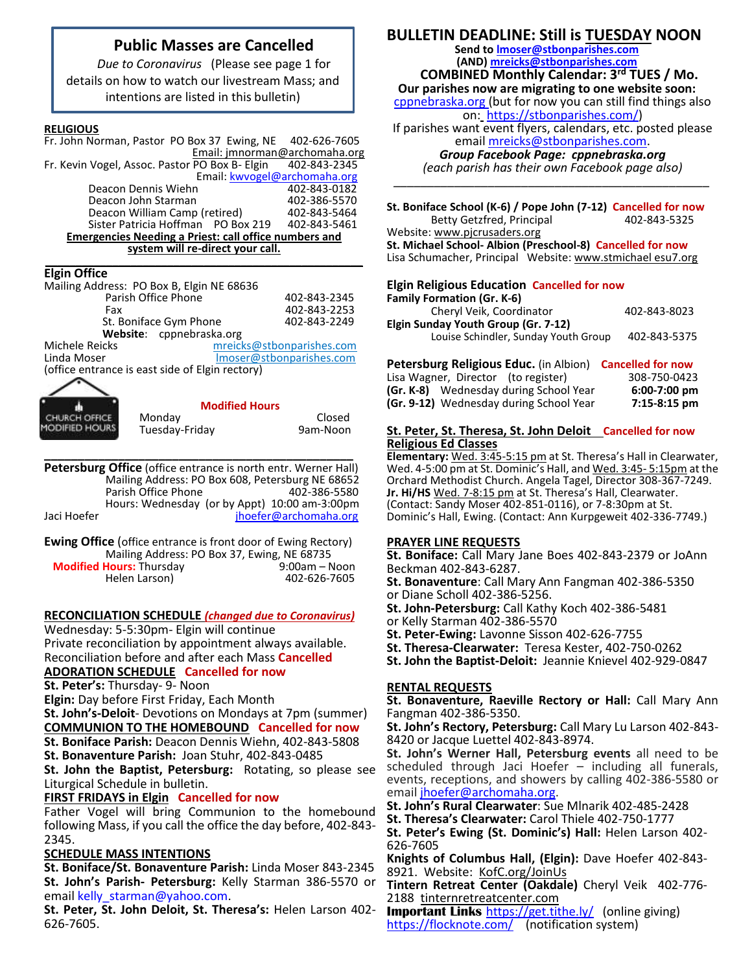### **Public Masses are Cancelled**

*Due to Coronavirus* (Please see page 1 for details on how to watch our livestream Mass; and intentions are listed in this bulletin)

#### **RELIGIOUS**

| Fr. John Norman, Pastor PO Box 37 Ewing, NE 402-626-7605     |              |
|--------------------------------------------------------------|--------------|
| Email: jmnorman@archomaha.org                                |              |
| Fr. Kevin Vogel, Assoc. Pastor PO Box B- Elgin               | 402-843-2345 |
| Email: kwvogel@archomaha.org                                 |              |
| Deacon Dennis Wiehn                                          | 402-843-0182 |
| Deacon John Starman                                          | 402-386-5570 |
| Deacon William Camp (retired)                                | 402-843-5464 |
| Sister Patricia Hoffman PO Box 219                           | 402-843-5461 |
| <b>Emergencies Needing a Priest: call office numbers and</b> |              |

**system will re-direct your call. \_\_\_\_\_\_\_\_\_\_\_\_\_\_\_\_\_\_\_\_\_\_\_\_\_\_\_\_\_\_\_\_\_\_\_\_\_\_\_\_\_\_\_\_\_\_\_\_\_\_\_\_**

### **Elgin Office**

| Mailing Address: PO Box B, Elgin NE 68636       |                           |  |  |
|-------------------------------------------------|---------------------------|--|--|
| Parish Office Phone                             | 402-843-2345              |  |  |
| Fax                                             | 402-843-2253              |  |  |
| St. Boniface Gym Phone                          | 402-843-2249              |  |  |
| Website: cppnebraska.org                        |                           |  |  |
| Michele Reicks                                  | mreicks@stbonparishes.com |  |  |
| Linda Moser                                     | Imoser@stbonparishes.com  |  |  |
| (office entrance is east side of Elgin rectory) |                           |  |  |
|                                                 |                           |  |  |



**Modified Hours**

**\_\_\_\_\_\_\_\_\_\_\_\_\_\_\_\_\_\_\_\_\_\_\_\_\_\_\_\_\_\_\_\_\_\_\_\_\_\_\_\_\_\_\_\_\_\_ Petersburg Office** (office entrance is north entr. Werner Hall) Mailing Address: PO Box 608, Petersburg NE 68652 Parish Office Phone Hours: Wednesday (or by Appt) 10:00 am-3:00pm<br>laci Hoefer<br>loefer@archomaha.org [jhoefer@archomaha.org](mailto:jhoefer@archomaha.org)

**Ewing Office** (office entrance is front door of Ewing Rectory) Mailing Address: PO Box 37, Ewing, NE 68735<br>Hours: Thursday 9:00am – Noon **Modified Hours: Thursday** Helen Larson) 402-626-7605

#### **RECONCILIATION SCHEDULE** *(changed due to Coronavirus)*

Wednesday: 5-5:30pm- Elgin will continue Private reconciliation by appointment always available. Reconciliation before and after each Mass **Cancelled ADORATION SCHEDULE Cancelled for now**

**St. Peter's:** Thursday- 9- Noon

**Elgin:** Day before First Friday, Each Month

**St. John's-Deloit**- Devotions on Mondays at 7pm (summer) **COMMUNION TO THE HOMEBOUND Cancelled for now**

**St. Boniface Parish:** Deacon Dennis Wiehn, 402-843-5808

**St. Bonaventure Parish:** Joan Stuhr, 402-843-0485

**St. John the Baptist, Petersburg:** Rotating, so please see Liturgical Schedule in bulletin.

### **FIRST FRIDAYS in Elgin Cancelled for now**

Father Vogel will bring Communion to the homebound following Mass, if you call the office the day before, 402-843- 2345.

### **SCHEDULE MASS INTENTIONS**

**St. Boniface/St. Bonaventure Parish:** Linda Moser 843-2345 **St. John's Parish- Petersburg:** Kelly Starman 386-5570 or email [kelly\\_starman@yahoo.com.](mailto:kelly_starman@yahoo.com)

**St. Peter, St. John Deloit, St. Theresa's:** Helen Larson 402- 626-7605.

### **BULLETIN DEADLINE: Still is TUESDAY NOON**

**Send t[o lmoser@stbonparishes.com](mailto:lmoser@stbonparishes.com) (AND) [mreicks@stbonparishes.com](mailto:mreicks@stbonparishes.com)**

 **COMBINED Monthly Calendar: 3rd TUES / Mo. Our parishes now are migrating to one website soon:** cppnebraska.org (but for now you can still find things also

on: [https://stbonparishes.com/\)](https://stbonparishes.com/)

If parishes want event flyers, calendars, etc. posted please emai[l mreicks@stbonparishes.com.](mailto:mreicks@stbonparishes.com)

*Group Facebook Page: cppnebraska.org (each parish has their own Facebook page also) \_\_\_\_\_\_\_\_\_\_\_\_\_\_\_\_\_\_\_\_\_\_\_\_\_\_\_\_\_\_\_\_\_\_\_\_\_\_\_\_\_\_\_\_\_\_\_*

**St. Boniface School (K-6) / Pope John (7-12) Cancelled for now** Betty Getzfred, Principal 402-843-5325

Website: [www.pjcrusaders.org](http://www.pjcrusaders.org/) **St. Michael School- Albion (Preschool-8) Cancelled for now** Lisa Schumacher, Principal Website: www.stmichael esu7.org

### **Elgin Religious Education Cancelled for now**

| <b>Family Formation (Gr. K-6)</b>    |              |
|--------------------------------------|--------------|
| Cheryl Veik, Coordinator             | 402-843-8023 |
| Elgin Sunday Youth Group (Gr. 7-12)  |              |
| Louise Schindler, Sunday Youth Group | 402-843-5375 |
|                                      |              |

| <b>Petersburg Religious Educ.</b> (in Albion) <b>Cancelled for now</b> |                |
|------------------------------------------------------------------------|----------------|
| Lisa Wagner, Director (to register)                                    | 308-750-0423   |
| (Gr. K-8) Wednesday during School Year                                 | $6:00-7:00$ pm |
| (Gr. 9-12) Wednesday during School Year                                | $7:15-8:15$ pm |

#### **St. Peter, St. Theresa, St. John Deloit Cancelled for now Religious Ed Classes**

**Elementary:** Wed. 3:45-5:15 pm at St. Theresa's Hall in Clearwater, Wed. 4-5:00 pm at St. Dominic's Hall, and Wed. 3:45- 5:15pm at the Orchard Methodist Church. Angela Tagel, Director 308-367-7249. **Jr. Hi/HS** Wed. 7-8:15 pm at St. Theresa's Hall, Clearwater. (Contact: Sandy Moser 402-851-0116), or 7-8:30pm at St. Dominic's Hall, Ewing. (Contact: Ann Kurpgeweit 402-336-7749.)

### **PRAYER LINE REQUESTS**

**St. Boniface:** Call Mary Jane Boes 402-843-2379 or JoAnn Beckman 402-843-6287.

**St. Bonaventure**: Call Mary Ann Fangman 402-386-5350 or Diane Scholl 402-386-5256.

**St. John-Petersburg:** Call Kathy Koch 402-386-5481

or Kelly Starman 402-386-5570

**St. Peter-Ewing:** Lavonne Sisson 402-626-7755

**St. Theresa-Clearwater:** Teresa Kester, 402-750-0262

**St. John the Baptist-Deloit:** Jeannie Knievel 402-929-0847

### **RENTAL REQUESTS**

**St. Bonaventure, Raeville Rectory or Hall:** Call Mary Ann Fangman 402-386-5350.

**St. John's Rectory, Petersburg:** Call Mary Lu Larson 402-843- 8420 or Jacque Luettel 402-843-8974.

**St. John's Werner Hall, Petersburg events** all need to be scheduled through Jaci Hoefer – including all funerals, events, receptions, and showers by calling 402-386-5580 or email [jhoefer@archomaha.org.](mailto:jhoefer@archomaha.org)

**St. John's Rural Clearwater**: Sue Mlnarik 402-485-2428

**St. Theresa's Clearwater:** Carol Thiele 402-750-1777

**St. Peter's Ewing (St. Dominic's) Hall:** Helen Larson 402- 626-7605

**Knights of Columbus Hall, (Elgin):** Dave Hoefer 402-843- 8921. Website: KofC.org/JoinUs

**Tintern Retreat Center (Oakdale)** Cheryl Veik 402-776- 2188 tinternretreatcenter.com

**Important Links** <https://get.tithe.ly/>(online giving) <https://flocknote.com/>(notification system)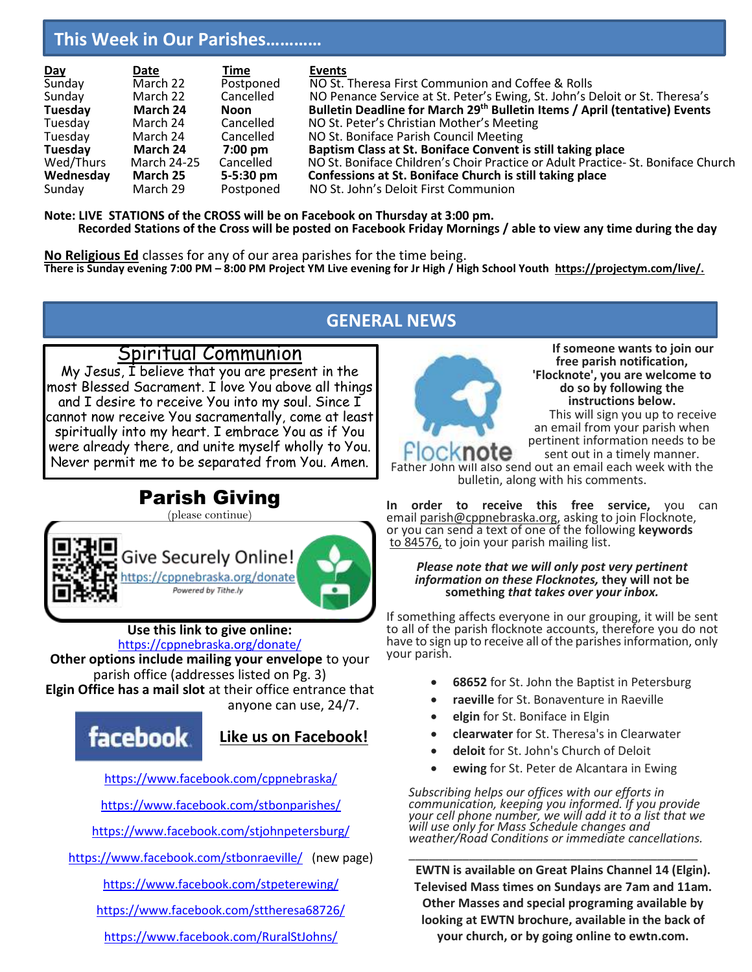# **This Week in Our Parishes…………**

| Day       | Date        | Time              | Events                                                                                 |
|-----------|-------------|-------------------|----------------------------------------------------------------------------------------|
| Sunday    | March 22    | Postponed         | NO St. Theresa First Communion and Coffee & Rolls                                      |
| Sunday    | March 22    | Cancelled         | NO Penance Service at St. Peter's Ewing, St. John's Deloit or St. Theresa's            |
| Tuesday   | March 24    | Noon              | Bulletin Deadline for March 29 <sup>th</sup> Bulletin Items / April (tentative) Events |
| Tuesday   | March 24    | Cancelled         | NO St. Peter's Christian Mother's Meeting                                              |
| Tuesday   | March 24    | Cancelled         | NO St. Boniface Parish Council Meeting                                                 |
| Tuesday   | March 24    | $7:00 \text{ pm}$ | Baptism Class at St. Boniface Convent is still taking place                            |
| Wed/Thurs | March 24-25 | Cancelled         | NO St. Boniface Children's Choir Practice or Adult Practice-St. Boniface Church        |
| Wednesday | March 25    | $5 - 5:30$ pm     | Confessions at St. Boniface Church is still taking place                               |
| Sunday    | March 29    | Postponed         | NO St. John's Deloit First Communion                                                   |

**Note: LIVE STATIONS of the CROSS will be on Facebook on Thursday at 3:00 pm. Recorded Stations of the Cross will be posted on Facebook Friday Mornings / able to view any time during the day**

**No Religious Ed** classes for any of our area parishes for the time being. **There is Sunday evening 7:00 PM – 8:00 PM Project YM Live evening for Jr High / High School Youth https://projectym.com/live/.**

# **GENERAL NEWS**

### Spiritual Communion

My Jesus, I believe that you are present in the most Blessed Sacrament. I love You above all things and I desire to receive You into my soul. Since I cannot now receive You sacramentally, come at least spiritually into my heart. I embrace You as if You were already there, and unite myself wholly to You. Never permit me to be separated from You. Amen.

# Parish Giving

(please continue)



**Use this link to give online:**  <https://cppnebraska.org/donate/>

**Other options include mailing your envelope** to your parish office (addresses listed on Pg. 3) **Elgin Office has a mail slot** at their office entrance that anyone can use, 24/7.

# facebook.

# **Like us on Facebook!**

<https://www.facebook.com/cppnebraska/>

<https://www.facebook.com/stbonparishes/>

<https://www.facebook.com/stjohnpetersburg/>

<https://www.facebook.com/stbonraeville/>(new page)

<https://www.facebook.com/stpeterewing/>

<https://www.facebook.com/sttheresa68726/>

<https://www.facebook.com/RuralStJohns/>



**If someone wants to join our free parish notification, 'Flocknote', you are welcome to do so by following the instructions below.** This will sign you up to receive an email from your parish when pertinent information needs to be

sent out in a timely manner. Father John will also send out an email each week with the

bulletin, along with his comments.

**In order to receive this free service,** you can email [parish@cppnebraska.org,](mailto:parish@cppnebraska.org) asking to join Flocknote, or you can send a text of one of the following **keywords** to 84576, to join your parish mailing list.

#### *Please note that we will only post very pertinent information on these Flocknotes,* **they will not be something** *that takes over your inbox.*

If something affects everyone in our grouping, it will be sent to all of the parish flocknote accounts, therefore you do not have to sign up to receive all of the parishes information, only your parish.

- **68652** for St. John the Baptist in Petersburg
- **raeville** for St. Bonaventure in Raeville
- **elgin** for St. Boniface in Elgin
- **clearwater** for St. Theresa's in Clearwater
- **deloit** for St. John's Church of Deloit
- **ewing** for St. Peter de Alcantara in Ewing

*Subscribing helps our offices with our efforts in communication, keeping you informed. If you provide your cell phone number, we will add it to a list that we will use only for Mass Schedule changes and weather/Road Conditions or immediate cancellations.*

\_\_\_\_\_\_\_\_\_\_\_\_\_\_\_\_\_\_\_\_\_\_\_\_\_\_\_\_\_\_\_\_\_\_\_\_\_\_\_\_\_\_\_ **EWTN is available on Great Plains Channel 14 (Elgin). Televised Mass times on Sundays are 7am and 11am. Other Masses and special programing available by looking at EWTN brochure, available in the back of your church, or by going online to ewtn.com.**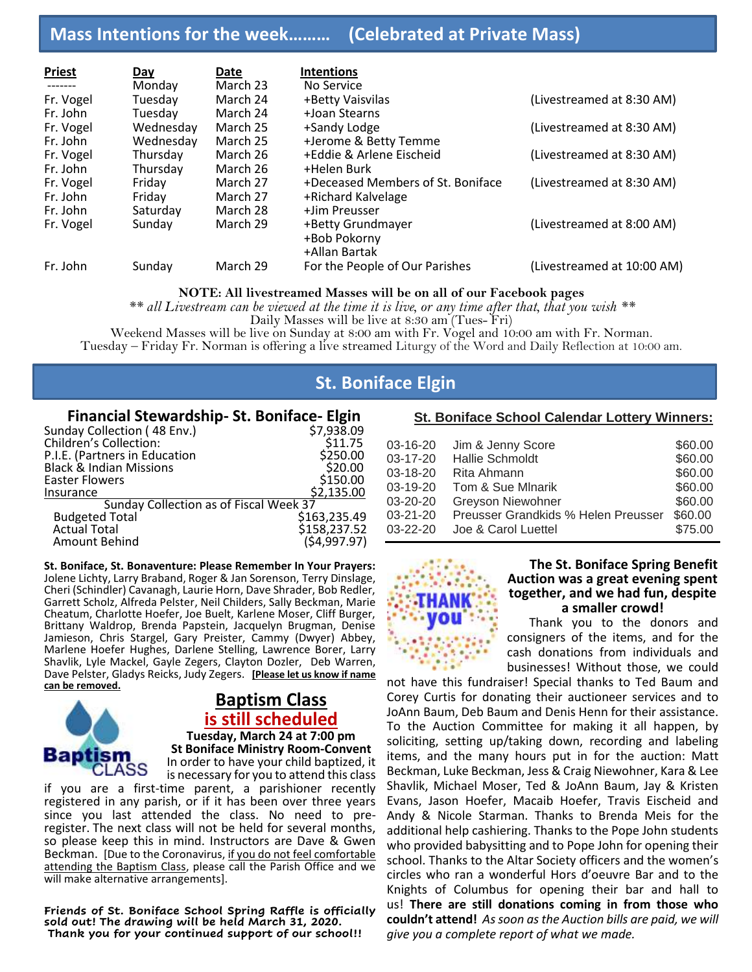# **Mass Intentions for the week……… (Celebrated at Private Mass)**

| <b>Priest</b> | Day       | Date     | <b>Intentions</b>                                  |                            |
|---------------|-----------|----------|----------------------------------------------------|----------------------------|
|               | Monday    | March 23 | No Service                                         |                            |
| Fr. Vogel     | Tuesday   | March 24 | +Betty Vaisvilas                                   | (Livestreamed at 8:30 AM)  |
| Fr. John      | Tuesday   | March 24 | +Joan Stearns                                      |                            |
| Fr. Vogel     | Wednesday | March 25 | +Sandy Lodge                                       | (Livestreamed at 8:30 AM)  |
| Fr. John      | Wednesday | March 25 | +Jerome & Betty Temme                              |                            |
| Fr. Vogel     | Thursday  | March 26 | +Eddie & Arlene Eischeid                           | (Livestreamed at 8:30 AM)  |
| Fr. John      | Thursday  | March 26 | +Helen Burk                                        |                            |
| Fr. Vogel     | Friday    | March 27 | +Deceased Members of St. Boniface                  | (Livestreamed at 8:30 AM)  |
| Fr. John      | Friday    | March 27 | +Richard Kalvelage                                 |                            |
| Fr. John      | Saturday  | March 28 | +Jim Preusser                                      |                            |
| Fr. Vogel     | Sunday    | March 29 | +Betty Grundmayer<br>+Bob Pokorny<br>+Allan Bartak | (Livestreamed at 8:00 AM)  |
| Fr. John      | Sunday    | March 29 | For the People of Our Parishes                     | (Livestreamed at 10:00 AM) |

#### **NOTE: All livestreamed Masses will be on all of our Facebook pages**

*\*\* all Livestream can be viewed at the time it is live, or any time after that, that you wish \*\**

Daily Masses will be live at 8:30 am (Tues- Fri)

Weekend Masses will be live on Sunday at 8:00 am with Fr. Vogel and 10:00 am with Fr. Norman. Tuesday – Friday Fr. Norman is offering a live streamed Liturgy of the Word and Daily Reflection at 10:00 am.

# **St. Boniface Elgin**

#### **Financial Stewardship- St. Boniface- Elgin**

| Sunday Collection (48 Env.)            | \$7,938.09   |
|----------------------------------------|--------------|
| <b>Children's Collection:</b>          | \$11.75      |
| P.I.E. (Partners in Education          | \$250.00     |
| <b>Black &amp; Indian Missions</b>     | \$20.00      |
| <b>Easter Flowers</b>                  | \$150.00     |
| Insurance                              | \$2,135.00   |
| Sunday Collection as of Fiscal Week 37 |              |
| <b>Budgeted Total</b>                  | \$163,235.49 |
| <b>Actual Total</b>                    | \$158,237.52 |
| Amount Behind                          | (54,997.97)  |

**St. Boniface, St. Bonaventure: Please Remember In Your Prayers:** Jolene Lichty, Larry Braband, Roger & Jan Sorenson, Terry Dinslage, Cheri (Schindler) Cavanagh, Laurie Horn, Dave Shrader, Bob Redler, Garrett Scholz, Alfreda Pelster, Neil Childers, Sally Beckman, Marie Cheatum, Charlotte Hoefer, Joe Buelt, Karlene Moser, Cliff Burger, Brittany Waldrop, Brenda Papstein, Jacquelyn Brugman, Denise Jamieson, Chris Stargel, Gary Preister, Cammy (Dwyer) Abbey, Marlene Hoefer Hughes, Darlene Stelling, Lawrence Borer, Larry Shavlik, Lyle Mackel, Gayle Zegers, Clayton Dozler, Deb Warren, Dave Pelster, Gladys Reicks, Judy Zegers. **[Please let us know if name can be removed.**



j

### **Baptism Class is still scheduled Tuesday, March 24 at 7:00 pm St Boniface Ministry Room-Convent** In order to have your child baptized, it

is necessary for you to attend this class if you are a first-time parent, a parishioner recently registered in any parish, or if it has been over three years since you last attended the class. No need to preregister. The next class will not be held for several months, so please keep this in mind. Instructors are Dave & Gwen Beckman. [Due to the Coronavirus, if you do not feel comfortable attending the Baptism Class, please call the Parish Office and we will make alternative arrangements].

**Friends of St. Boniface School Spring Raffle is officially sold out! The drawing will be held March 31, 2020. Thank you for your continued support of our school!!**

### **St. Boniface School Calendar Lottery Winners:**

| $03 - 16 - 20$ | Jim & Jenny Score                   | \$60.00 |
|----------------|-------------------------------------|---------|
| $03 - 17 - 20$ | Hallie Schmoldt                     | \$60.00 |
| $03 - 18 - 20$ | Rita Ahmann                         | \$60.00 |
| $03-19-20$     | Tom & Sue Minarik                   | \$60.00 |
| 03-20-20       | Greyson Niewohner                   | \$60.00 |
| 03-21-20       | Preusser Grandkids % Helen Preusser | \$60.00 |
| $03 - 22 - 20$ | Joe & Carol Luettel                 | \$75.00 |



#### **The St. Boniface Spring Benefit Auction was a great evening spent together, and we had fun, despite a smaller crowd!**

Thank you to the donors and consigners of the items, and for the cash donations from individuals and businesses! Without those, we could

not have this fundraiser! Special thanks to Ted Baum and Corey Curtis for donating their auctioneer services and to JoAnn Baum, Deb Baum and Denis Henn for their assistance. To the Auction Committee for making it all happen, by soliciting, setting up/taking down, recording and labeling items, and the many hours put in for the auction: Matt Beckman, Luke Beckman, Jess & Craig Niewohner, Kara & Lee Shavlik, Michael Moser, Ted & JoAnn Baum, Jay & Kristen Evans, Jason Hoefer, Macaib Hoefer, Travis Eischeid and Andy & Nicole Starman. Thanks to Brenda Meis for the additional help cashiering. Thanks to the Pope John students who provided babysitting and to Pope John for opening their school. Thanks to the Altar Society officers and the women's circles who ran a wonderful Hors d'oeuvre Bar and to the Knights of Columbus for opening their bar and hall to us! **There are still donations coming in from those who couldn't attend!** *Assoon as the Auction bills are paid, we will give you a complete report of what we made.*